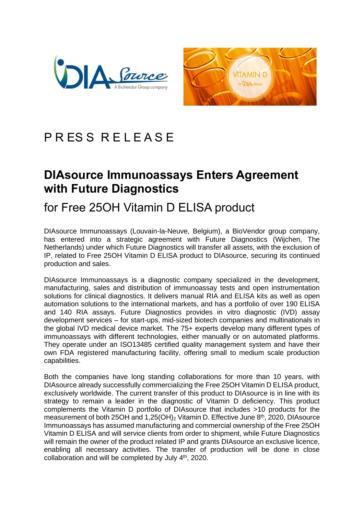



## PRESS RELEASE

## **DIAsource Immunoassays Enters Agreement with Future Diagnostics**

## for Free 25OH Vitamin D ELISA product

DIAsource Immunoassays (Louvain-la-Neuve, Belgium), a BioVendor group company, has entered into a strategic agreement with Future Diagnostics (Wijchen, The Netherlands) under which Future Diagnostics will transfer all assets, with the exclusion of IP, related to Free 25OH Vitamin D ELISA product to DIAsource, securing its continued production and sales.

DIAsource Immunoassays is a diagnostic company specialized in the development, manufacturing, sales and distribution of immunoassay tests and open instrumentation solutions for clinical diagnostics. It delivers manual RIA and ELISA kits as well as open automation solutions to the international markets, and has a portfolio of over 190 ELISA and 140 RIA assays. Future Diagnostics provides in vitro diagnostic (IVD) assay development services – for start-ups, mid-sized biotech companies and multinationals in the global IVD medical device market. The 75+ experts develop many different types of immunoassays with different technologies, either manually or on automated platforms. They operate under an ISO13485 certified quality management system and have their own FDA registered manufacturing facility, offering small to medium scale production capabilities.

Both the companies have long standing collaborations for more than 10 years, with DIAsource already successfully commercializing the Free 25OH Vitamin D ELISA product, exclusively worldwide. The current transfer of this product to DIAsource is in line with its strategy to remain a leader in the diagnostic of Vitamin D deficiency. This product complements the Vitamin D portfolio of DIAsource that includes >10 products for the measurement of both 25OH and  $1,25(OH)_2$  Vitamin D. Effective June  $8<sup>th</sup>$ , 2020, DIAsource Immunoassays has assumed manufacturing and commercial ownership of the Free 25OH Vitamin D ELISA and will service clients from order to shipment, while Future Diagnostics will remain the owner of the product related IP and grants DIAsource an exclusive licence, enabling all necessary activities. The transfer of production will be done in close collaboration and will be completed by July  $4<sup>th</sup>$ , 2020.